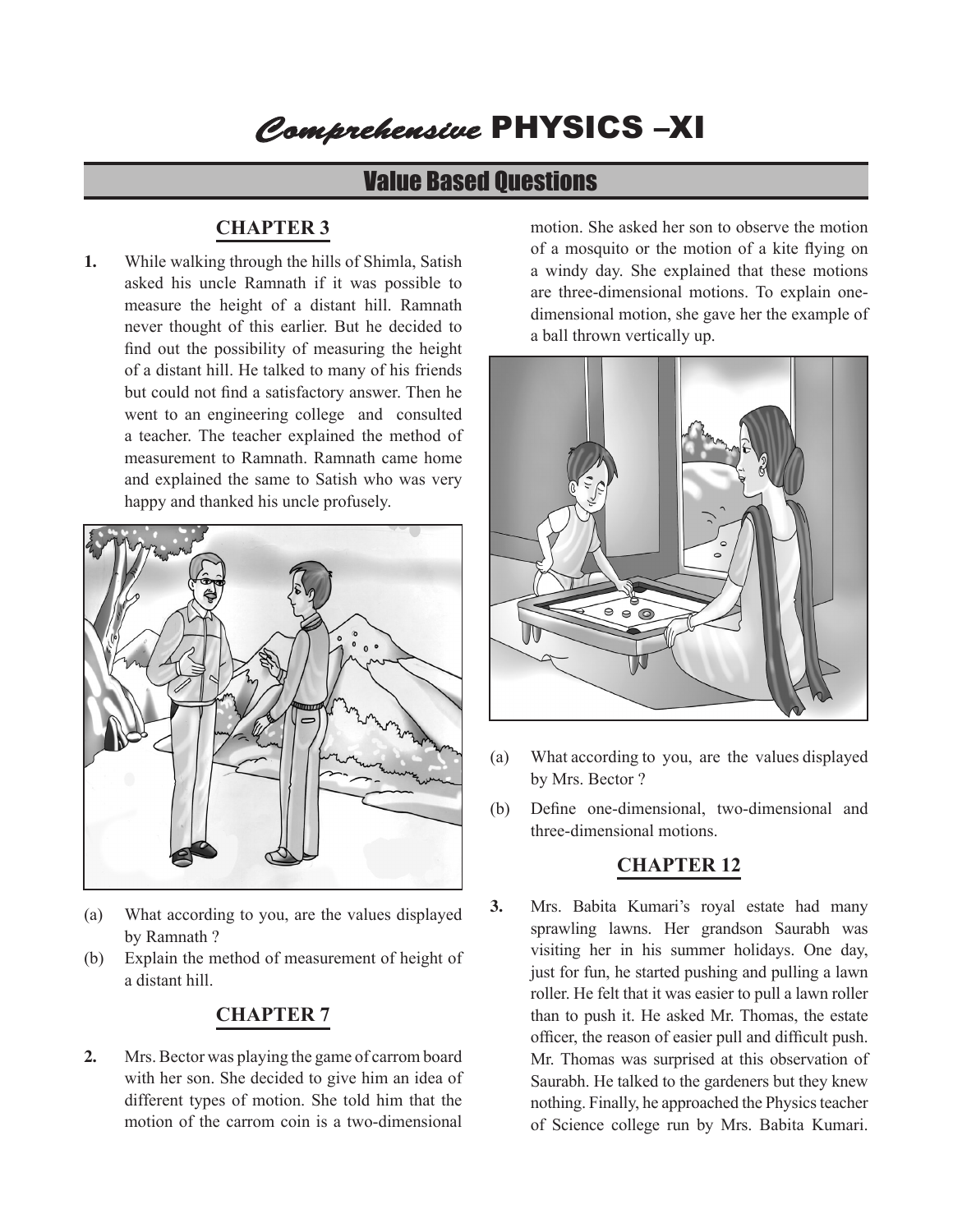Comprehensive PHYSICS –XI

# Value Based Questions

### **CHAPTER 3**

**1.** While walking through the hills of Shimla, Satish asked his uncle Ramnath if it was possible to measure the height of a distant hill. Ramnath never thought of this earlier. But he decided to find out the possibility of measuring the height of a distant hill. He talked to many of his friends but could not find a satisfactory answer. Then he went to an engineering college and consulted a teacher. The teacher explained the method of measurement to Ramnath. Ramnath came home and explained the same to Satish who was very happy and thanked his uncle profusely.



- (a) What according to you, are the values displayed by Ramnath ?
- (b) Explain the method of measurement of height of a distant hill.

### **CHAPTER 7**

**2.** Mrs. Bector was playing the game of carrom board with her son. She decided to give him an idea of different types of motion. She told him that the motion of the carrom coin is a two-dimensional

motion. She asked her son to observe the motion of a mosquito or the motion of a kite flying on a windy day. She explained that these motions are three-dimensional motions. To explain onedimensional motion, she gave her the example of a ball thrown vertically up.



- (a) What according to you, are the values displayed by Mrs. Bector ?
- (b) Define one-dimensional, two-dimensional and three-dimensional motions.

### **CHAPTER 12**

**3.** Mrs. Babita Kumari's royal estate had many sprawling lawns. Her grandson Saurabh was visiting her in his summer holidays. One day, just for fun, he started pushing and pulling a lawn roller. He felt that it was easier to pull a lawn roller than to push it. He asked Mr. Thomas, the estate officer, the reason of easier pull and difficult push. Mr. Thomas was surprised at this observation of Saurabh. He talked to the gardeners but they knew nothing. Finally, he approached the Physics teacher of Science college run by Mrs. Babita Kumari.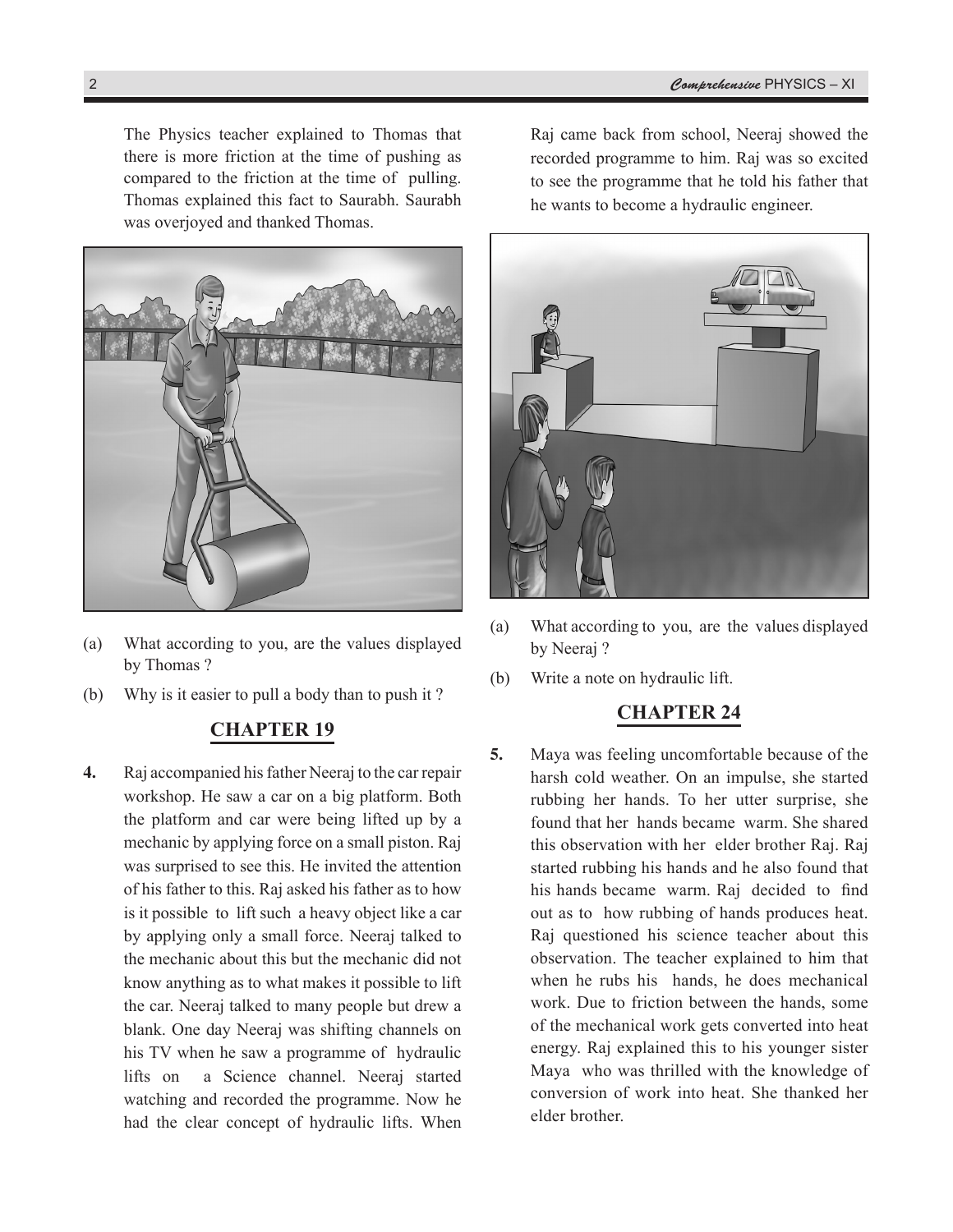The Physics teacher explained to Thomas that there is more friction at the time of pushing as compared to the friction at the time of pulling. Thomas explained this fact to Saurabh. Saurabh was overjoyed and thanked Thomas.



- (a) What according to you, are the values displayed by Thomas ?
- (b) Why is it easier to pull a body than to push it ?

### **CHAPTER 19**

**4.** Raj accompanied his father Neeraj to the car repair workshop. He saw a car on a big platform. Both the platform and car were being lifted up by a mechanic by applying force on a small piston. Raj was surprised to see this. He invited the attention of his father to this. Raj asked his father as to how is it possible to lift such a heavy object like a car by applying only a small force. Neeraj talked to the mechanic about this but the mechanic did not know anything as to what makes it possible to lift the car. Neeraj talked to many people but drew a blank. One day Neeraj was shifting channels on his TV when he saw a programme of hydraulic lifts on a Science channel. Neeraj started watching and recorded the programme. Now he had the clear concept of hydraulic lifts. When

Raj came back from school, Neeraj showed the recorded programme to him. Raj was so excited to see the programme that he told his father that he wants to become a hydraulic engineer.



- (a) What according to you, are the values displayed by Neeraj ?
- (b) Write a note on hydraulic lift.

### **CHAPTER 24**

**5.** Maya was feeling uncomfortable because of the harsh cold weather. On an impulse, she started rubbing her hands. To her utter surprise, she found that her hands became warm. She shared this observation with her elder brother Raj. Raj started rubbing his hands and he also found that his hands became warm. Raj decided to find out as to how rubbing of hands produces heat. Raj questioned his science teacher about this observation. The teacher explained to him that when he rubs his hands, he does mechanical work. Due to friction between the hands, some of the mechanical work gets converted into heat energy. Raj explained this to his younger sister Maya who was thrilled with the knowledge of conversion of work into heat. She thanked her elder brother.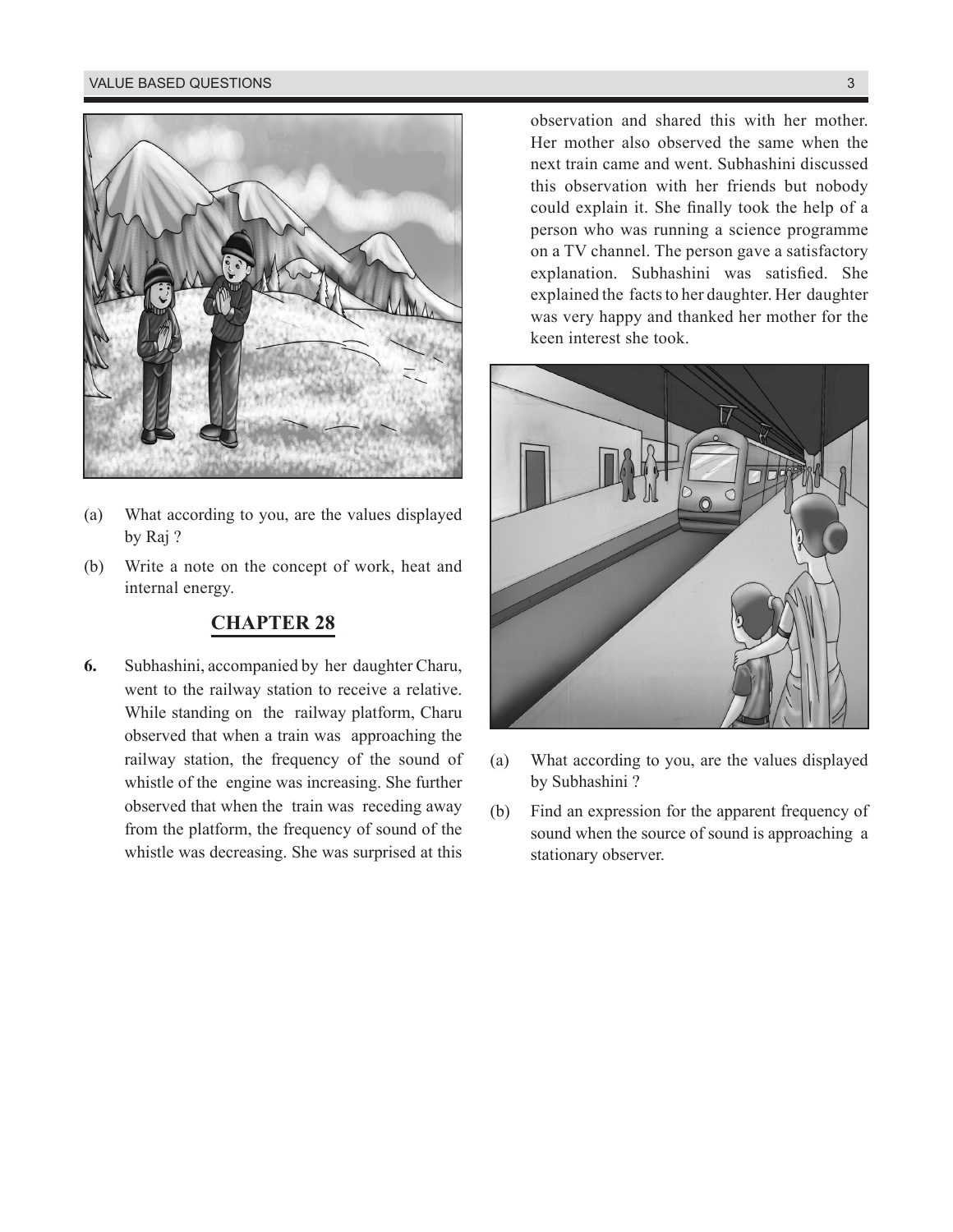#### VALUE BASED QUESTIONS 3



- (a) What according to you, are the values displayed by Raj ?
- (b) Write a note on the concept of work, heat and internal energy.

### **CHAPTER 28**

**6.** Subhashini, accompanied by her daughter Charu, went to the railway station to receive a relative. While standing on the railway platform, Charu observed that when a train was approaching the railway station, the frequency of the sound of whistle of the engine was increasing. She further observed that when the train was receding away from the platform, the frequency of sound of the whistle was decreasing. She was surprised at this

observation and shared this with her mother. Her mother also observed the same when the next train came and went. Subhashini discussed this observation with her friends but nobody could explain it. She finally took the help of a person who was running a science programme on a TV channel. The person gave a satisfactory explanation. Subhashini was satisfied. She explained the facts to her daughter. Her daughter was very happy and thanked her mother for the keen interest she took.



- (a) What according to you, are the values displayed by Subhashini ?
- (b) Find an expression for the apparent frequency of sound when the source of sound is approaching a stationary observer.